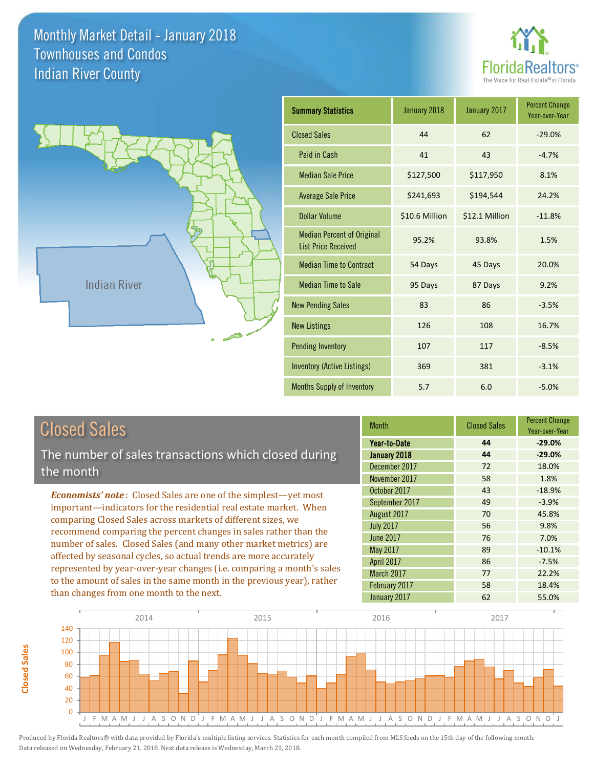



| <b>Closed Sales</b> |  |  |
|---------------------|--|--|
|---------------------|--|--|

**Closed Sales**

**Closed Sales** 

The number of sales transactions which closed during the month

*Economists' note* : Closed Sales are one of the simplest—yet most important—indicators for the residential real estate market. When comparing Closed Sales across markets of different sizes, we recommend comparing the percent changes in sales rather than the number of sales. Closed Sales (and many other market metrics) are affected by seasonal cycles, so actual trends are more accurately represented by year-over-year changes (i.e. comparing a month's sales to the amount of sales in the same month in the previous year), rather than changes from one month to the next.

| <b>Month</b>     | <b>Closed Sales</b> | <b>Percent Change</b><br>Year-over-Year |
|------------------|---------------------|-----------------------------------------|
| Year-to-Date     | 44                  | $-29.0%$                                |
| January 2018     | 44                  | $-29.0%$                                |
| December 2017    | 72                  | 18.0%                                   |
| November 2017    | 58                  | 1.8%                                    |
| October 2017     | 43                  | $-18.9%$                                |
| September 2017   | 49                  | $-3.9%$                                 |
| August 2017      | 70                  | 45.8%                                   |
| <b>July 2017</b> | 56                  | 9.8%                                    |
| <b>June 2017</b> | 76                  | 7.0%                                    |
| May 2017         | 89                  | $-10.1%$                                |
| April 2017       | 86                  | $-7.5%$                                 |
| March 2017       | 77                  | 22.2%                                   |
| February 2017    | 58                  | 18.4%                                   |
| January 2017     | 62                  | 55.0%                                   |

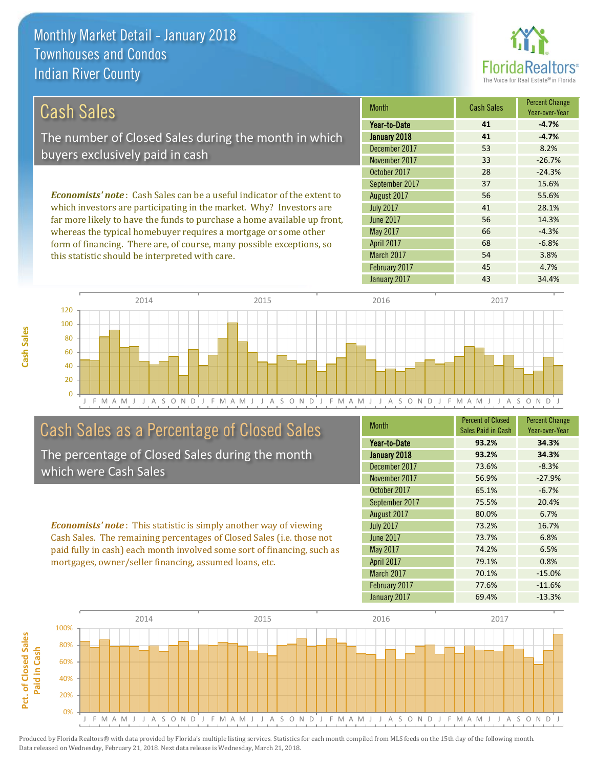this statistic should be interpreted with care.



54 3.8%

68 -6.8%

| Cash Sales                                                                     | <b>Month</b>     | <b>Cash Sales</b> | <b>Percent Change</b><br>Year-over-Year |
|--------------------------------------------------------------------------------|------------------|-------------------|-----------------------------------------|
|                                                                                | Year-to-Date     | 41                | $-4.7%$                                 |
| The number of Closed Sales during the month in which                           | January 2018     | 41                | $-4.7%$                                 |
| buyers exclusively paid in cash                                                | December 2017    | 53                | 8.2%                                    |
|                                                                                | November 2017    | 33                | $-26.7%$                                |
|                                                                                | October 2017     | 28                | $-24.3%$                                |
|                                                                                | September 2017   | 37                | 15.6%                                   |
| <b>Economists' note:</b> Cash Sales can be a useful indicator of the extent to | August 2017      | 56                | 55.6%                                   |
| which investors are participating in the market. Why? Investors are            | <b>July 2017</b> | 41                | 28.1%                                   |
| far more likely to have the funds to purchase a home available up front,       | June 2017        | 56                | 14.3%                                   |
| whereas the typical homebuyer requires a mortgage or some other                | May 2017         | 66                | $-4.3%$                                 |

April 2017

March 2017

J F M A M J J A S O N D J F M A M J J A S O N D J F M A M J J A S O N D J F M A M J J A S O N D J  $\Omega$ 20 40 60 80 100 120 2014 2015 2015 2016 2017 2018 2017

### Cash Sales as a Percentage of Closed Sales

form of financing. There are, of course, many possible exceptions, so

The percentage of Closed Sales during the month which were Cash Sales

*Economists' note* : This statistic is simply another way of viewing Cash Sales. The remaining percentages of Closed Sales (i.e. those not paid fully in cash) each month involved some sort of financing, such as mortgages, owner/seller financing, assumed loans, etc.

| <b>Month</b>     | <b>Percent of Closed</b><br>Sales Paid in Cash | <b>Percent Change</b><br>Year-over-Year |
|------------------|------------------------------------------------|-----------------------------------------|
| Year-to-Date     | 93.2%                                          | 34.3%                                   |
| January 2018     | 93.2%                                          | 34.3%                                   |
| December 2017    | 73.6%                                          | $-8.3%$                                 |
| November 2017    | 56.9%                                          | $-27.9%$                                |
| October 2017     | 65.1%                                          | $-6.7%$                                 |
| September 2017   | 75.5%                                          | 20.4%                                   |
| August 2017      | 80.0%                                          | 6.7%                                    |
| <b>July 2017</b> | 73.2%                                          | 16.7%                                   |
| <b>June 2017</b> | 73.7%                                          | 6.8%                                    |
| May 2017         | 74.2%                                          | 6.5%                                    |
| April 2017       | 79.1%                                          | 0.8%                                    |
| March 2017       | 70.1%                                          | $-15.0%$                                |
| February 2017    | 77.6%                                          | $-11.6%$                                |
| January 2017     | 69.4%                                          | $-13.3%$                                |

February 2017 **45** 4.7%

January 2017 **43** 43 34.4%

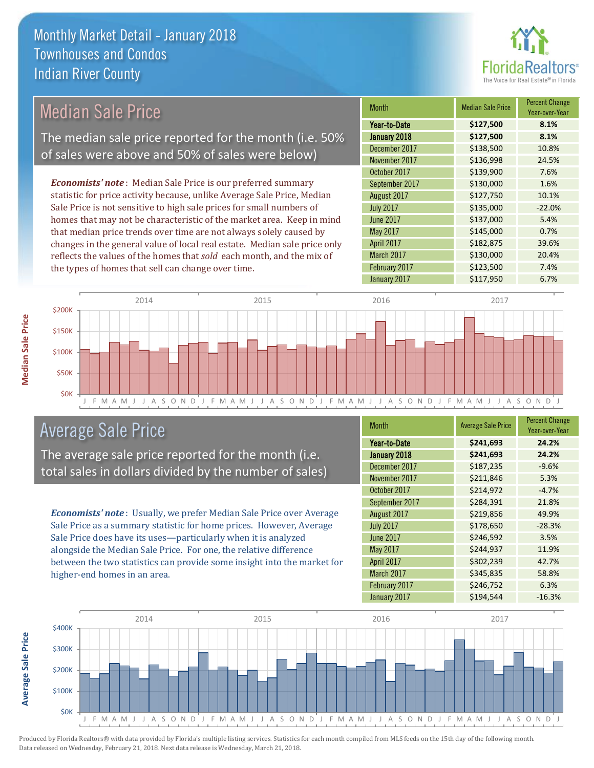

| <b>Median Sale Price</b>                                                  |                                                    | <b>Month</b>                                                            | <b>Median Sale Price</b> | Percent Change<br>Year-over-Year |       |
|---------------------------------------------------------------------------|----------------------------------------------------|-------------------------------------------------------------------------|--------------------------|----------------------------------|-------|
|                                                                           |                                                    | Year-to-Date                                                            | \$127,500                | 8.1%                             |       |
|                                                                           |                                                    | The median sale price reported for the month (i.e. 50%                  | January 2018             | \$127,500                        | 8.1%  |
|                                                                           |                                                    | of sales were above and 50% of sales were below)                        | December 2017            | \$138,500                        | 10.8% |
|                                                                           |                                                    |                                                                         | November 2017            | \$136,998                        | 24.5% |
|                                                                           |                                                    |                                                                         | October 2017             | \$139,900                        | 7.6%  |
|                                                                           |                                                    | <b>Economists' note:</b> Median Sale Price is our preferred summary     | September 2017           | \$130,000                        | 1.6%  |
|                                                                           |                                                    | statistic for price activity because, unlike Average Sale Price, Median | August 2017              | \$127,750                        | 10.1% |
| Sale Price is not sensitive to high sale prices for small numbers of      |                                                    | <b>July 2017</b>                                                        | \$135,000                | $-22.0%$                         |       |
| homes that may not be characteristic of the market area. Keep in mind     |                                                    | June 2017                                                               | \$137,000                | 5.4%                             |       |
| that median price trends over time are not always solely caused by        |                                                    | May 2017                                                                | \$145,000                | 0.7%                             |       |
| changes in the general value of local real estate. Median sale price only |                                                    | <b>April 2017</b>                                                       | \$182,875                | 39.6%                            |       |
|                                                                           |                                                    | reflects the values of the homes that sold each month, and the mix of   | March 2017               | \$130,000                        | 20.4% |
|                                                                           | the types of homes that sell can change over time. |                                                                         | February 2017            | \$123,500                        | 7.4%  |
|                                                                           |                                                    |                                                                         | January 2017             | \$117,950                        | 6.7%  |
|                                                                           | 2014                                               | 2015                                                                    | 2016                     | 2017                             |       |
| \$200K                                                                    |                                                    |                                                                         |                          |                                  |       |



# Average Sale Price

The average sale price reported for the month (i.e. total sales in dollars divided by the number of sales)

*Economists' note* : Usually, we prefer Median Sale Price over Average Sale Price as a summary statistic for home prices. However, Average Sale Price does have its uses—particularly when it is analyzed alongside the Median Sale Price. For one, the relative difference between the two statistics can provide some insight into the market for higher-end homes in an area.

| <b>Month</b>     | <b>Average Sale Price</b> | <b>Percent Change</b><br>Year-over-Year |
|------------------|---------------------------|-----------------------------------------|
| Year-to-Date     | \$241,693                 | 24.2%                                   |
| January 2018     | \$241,693                 | 24.2%                                   |
| December 2017    | \$187,235                 | $-9.6%$                                 |
| November 2017    | \$211,846                 | 5.3%                                    |
| October 2017     | \$214,972                 | $-4.7%$                                 |
| September 2017   | \$284,391                 | 21.8%                                   |
| August 2017      | \$219,856                 | 49.9%                                   |
| <b>July 2017</b> | \$178,650                 | $-28.3%$                                |
| <b>June 2017</b> | \$246,592                 | 3.5%                                    |
| May 2017         | \$244,937                 | 11.9%                                   |
| April 2017       | \$302,239                 | 42.7%                                   |
| March 2017       | \$345,835                 | 58.8%                                   |
| February 2017    | \$246,752                 | 6.3%                                    |
| January 2017     | \$194,544                 | $-16.3%$                                |



Produced by Florida Realtors® with data provided by Florida's multiple listing services. Statistics for each month compiled from MLS feeds on the 15th day of the following month. Data released on Wednesday, February 21, 2018. Next data release is Wednesday, March 21, 2018.

**Average Sale Price**

**Average Sale Price**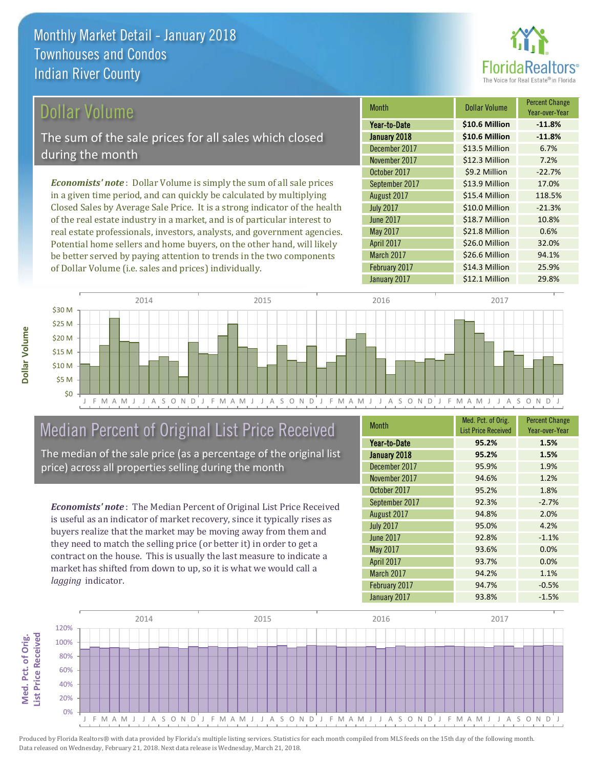

#### Dollar Volume

The sum of the sale prices for all sales which closed during the month

*Economists' note* : Dollar Volume is simply the sum of all sale prices in a given time period, and can quickly be calculated by multiplying Closed Sales by Average Sale Price. It is a strong indicator of the health of the real estate industry in a market, and is of particular interest to real estate professionals, investors, analysts, and government agencies. Potential home sellers and home buyers, on the other hand, will likely be better served by paying attention to trends in the two components of Dollar Volume (i.e. sales and prices) individually.

| <b>Month</b>     | Dollar Volume  | <b>Percent Change</b><br>Year-over-Year |
|------------------|----------------|-----------------------------------------|
| Year-to-Date     | \$10.6 Million | $-11.8%$                                |
| January 2018     | \$10.6 Million | $-11.8%$                                |
| December 2017    | \$13.5 Million | 6.7%                                    |
| November 2017    | \$12.3 Million | 7.2%                                    |
| October 2017     | \$9.2 Million  | $-22.7%$                                |
| September 2017   | \$13.9 Million | 17.0%                                   |
| August 2017      | \$15.4 Million | 118.5%                                  |
| <b>July 2017</b> | \$10.0 Million | $-21.3%$                                |
| <b>June 2017</b> | \$18.7 Million | 10.8%                                   |
| May 2017         | \$21.8 Million | 0.6%                                    |
| April 2017       | \$26.0 Million | 32.0%                                   |
| March 2017       | \$26.6 Million | 94.1%                                   |
| February 2017    | \$14.3 Million | 25.9%                                   |
| January 2017     | \$12.1 Million | 29.8%                                   |



# Median Percent of Original List Price Received

The median of the sale price (as a percentage of the original list price) across all properties selling during the month

*Economists' note* : The Median Percent of Original List Price Received is useful as an indicator of market recovery, since it typically rises as buyers realize that the market may be moving away from them and they need to match the selling price (or better it) in order to get a contract on the house. This is usually the last measure to indicate a market has shifted from down to up, so it is what we would call a *lagging* indicator.

| <b>Month</b>     | Med. Pct. of Orig.<br><b>List Price Received</b> | <b>Percent Change</b><br>Year-over-Year |
|------------------|--------------------------------------------------|-----------------------------------------|
| Year-to-Date     | 95.2%                                            | 1.5%                                    |
| January 2018     | 95.2%                                            | 1.5%                                    |
| December 2017    | 95.9%                                            | 1.9%                                    |
| November 2017    | 94.6%                                            | 1.2%                                    |
| October 2017     | 95.2%                                            | 1.8%                                    |
| September 2017   | 92.3%                                            | $-2.7%$                                 |
| August 2017      | 94.8%                                            | 2.0%                                    |
| <b>July 2017</b> | 95.0%                                            | 4.2%                                    |
| <b>June 2017</b> | 92.8%                                            | $-1.1%$                                 |
| May 2017         | 93.6%                                            | 0.0%                                    |
| April 2017       | 93.7%                                            | 0.0%                                    |
| March 2017       | 94.2%                                            | 1.1%                                    |
| February 2017    | 94.7%                                            | $-0.5%$                                 |
| January 2017     | 93.8%                                            | $-1.5%$                                 |

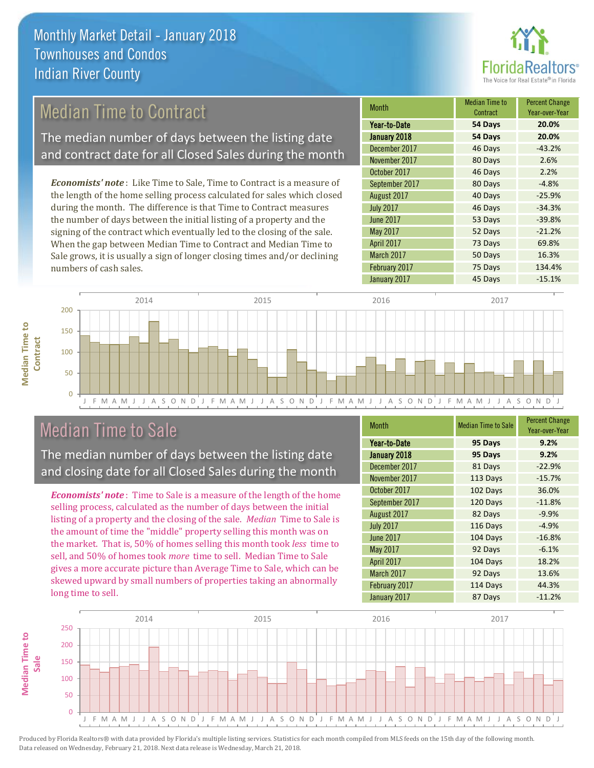

# Median Time to Contract

The median number of days between the listing date and contract date for all Closed Sales during the month

*Economists' note* : Like Time to Sale, Time to Contract is a measure of the length of the home selling process calculated for sales which closed during the month. The difference is that Time to Contract measures the number of days between the initial listing of a property and the signing of the contract which eventually led to the closing of the sale. When the gap between Median Time to Contract and Median Time to Sale grows, it is usually a sign of longer closing times and/or declining numbers of cash sales.

| <b>Month</b>     | <b>Median Time to</b><br>Contract | <b>Percent Change</b><br>Year-over-Year |
|------------------|-----------------------------------|-----------------------------------------|
| Year-to-Date     | 54 Days                           | 20.0%                                   |
| January 2018     | 54 Days                           | 20.0%                                   |
| December 2017    | 46 Days                           | $-43.2%$                                |
| November 2017    | 80 Days                           | 2.6%                                    |
| October 2017     | 46 Days                           | 2.2%                                    |
| September 2017   | 80 Days                           | $-4.8%$                                 |
| August 2017      | 40 Days                           | $-25.9%$                                |
| <b>July 2017</b> | 46 Days                           | $-34.3%$                                |
| <b>June 2017</b> | 53 Days                           | $-39.8%$                                |
| May 2017         | 52 Days                           | $-21.2%$                                |
| April 2017       | 73 Days                           | 69.8%                                   |
| March 2017       | 50 Days                           | 16.3%                                   |
| February 2017    | 75 Days                           | 134.4%                                  |
| January 2017     | 45 Days                           | $-15.1%$                                |



# Median Time to Sale

**Median Time to** 

**Median Time to** 

The median number of days between the listing date and closing date for all Closed Sales during the month

*Economists' note* : Time to Sale is a measure of the length of the home selling process, calculated as the number of days between the initial listing of a property and the closing of the sale. *Median* Time to Sale is the amount of time the "middle" property selling this month was on the market. That is, 50% of homes selling this month took *less* time to sell, and 50% of homes took *more* time to sell. Median Time to Sale gives a more accurate picture than Average Time to Sale, which can be skewed upward by small numbers of properties taking an abnormally long time to sell.

| <b>Month</b>     | <b>Median Time to Sale</b> | <b>Percent Change</b><br>Year-over-Year |
|------------------|----------------------------|-----------------------------------------|
| Year-to-Date     | 95 Days                    | 9.2%                                    |
| January 2018     | 95 Days                    | 9.2%                                    |
| December 2017    | 81 Days                    | $-22.9%$                                |
| November 2017    | 113 Days                   | $-15.7%$                                |
| October 2017     | 102 Days                   | 36.0%                                   |
| September 2017   | 120 Days                   | $-11.8%$                                |
| August 2017      | 82 Days                    | $-9.9%$                                 |
| <b>July 2017</b> | 116 Days                   | $-4.9%$                                 |
| <b>June 2017</b> | 104 Days                   | $-16.8%$                                |
| May 2017         | 92 Days                    | $-6.1%$                                 |
| April 2017       | 104 Days                   | 18.2%                                   |
| March 2017       | 92 Days                    | 13.6%                                   |
| February 2017    | 114 Days                   | 44.3%                                   |
| January 2017     | 87 Days                    | $-11.2%$                                |

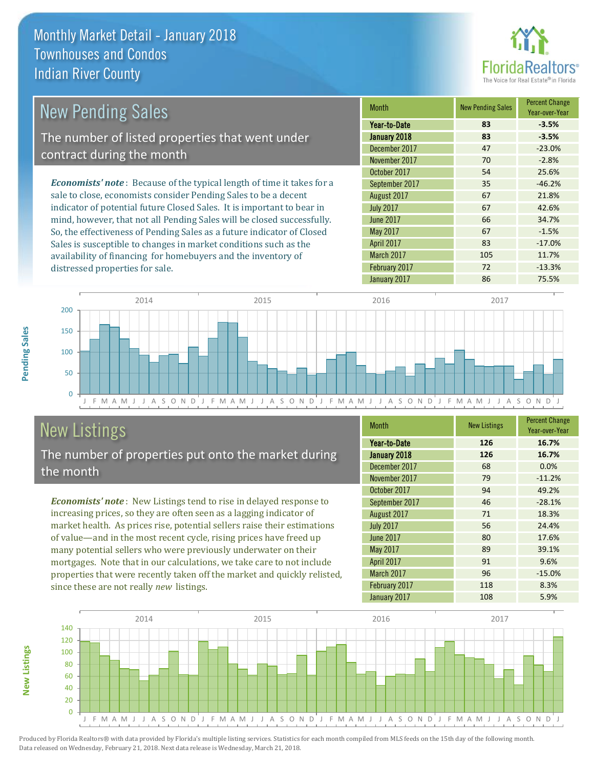

| New Pending Sales                                                              | <b>Month</b>      | <b>New Pending Sales</b> | <b>Percent Change</b><br>Year-over-Year |
|--------------------------------------------------------------------------------|-------------------|--------------------------|-----------------------------------------|
|                                                                                | Year-to-Date      | 83                       | $-3.5%$                                 |
| The number of listed properties that went under                                | January 2018      | 83                       | $-3.5%$                                 |
| contract during the month                                                      | December 2017     | 47                       | $-23.0%$                                |
|                                                                                | November 2017     | 70                       | $-2.8%$                                 |
|                                                                                | October 2017      | 54                       | 25.6%                                   |
| <b>Economists' note</b> : Because of the typical length of time it takes for a | September 2017    | 35                       | $-46.2%$                                |
| sale to close, economists consider Pending Sales to be a decent                | August 2017       | 67                       | 21.8%                                   |
| indicator of potential future Closed Sales. It is important to bear in         | <b>July 2017</b>  | 67                       | 42.6%                                   |
| mind, however, that not all Pending Sales will be closed successfully.         | <b>June 2017</b>  | 66                       | 34.7%                                   |
| So, the effectiveness of Pending Sales as a future indicator of Closed         | May 2017          | 67                       | $-1.5%$                                 |
| Sales is susceptible to changes in market conditions such as the               | <b>April 2017</b> | 83                       | $-17.0%$                                |



# New Listings

distressed properties for sale.

The number of properties put onto the market during the month

availability of financing for homebuyers and the inventory of

*Economists' note* : New Listings tend to rise in delayed response to increasing prices, so they are often seen as a lagging indicator of market health. As prices rise, potential sellers raise their estimations of value—and in the most recent cycle, rising prices have freed up many potential sellers who were previously underwater on their mortgages. Note that in our calculations, we take care to not include properties that were recently taken off the market and quickly relisted, since these are not really *new* listings.

| <b>Month</b>      | <b>New Listings</b> | <b>Percent Change</b><br>Year-over-Year |
|-------------------|---------------------|-----------------------------------------|
| Year-to-Date      | 126                 | 16.7%                                   |
| January 2018      | 126                 | 16.7%                                   |
| December 2017     | 68                  | 0.0%                                    |
| November 2017     | 79                  | $-11.2%$                                |
| October 2017      | 94                  | 49.2%                                   |
| September 2017    | 46                  | $-28.1%$                                |
| August 2017       | 71                  | 18.3%                                   |
| <b>July 2017</b>  | 56                  | 24.4%                                   |
| <b>June 2017</b>  | 80                  | 17.6%                                   |
| May 2017          | 89                  | 39.1%                                   |
| <b>April 2017</b> | 91                  | 9.6%                                    |
| March 2017        | 96                  | $-15.0%$                                |
| February 2017     | 118                 | 8.3%                                    |
| January 2017      | 108                 | 5.9%                                    |

March 2017 105 105 11.7% February 2017 72 -13.3%



Produced by Florida Realtors® with data provided by Florida's multiple listing services. Statistics for each month compiled from MLS feeds on the 15th day of the following month. Data released on Wednesday, February 21, 2018. Next data release is Wednesday, March 21, 2018.

**New Listings**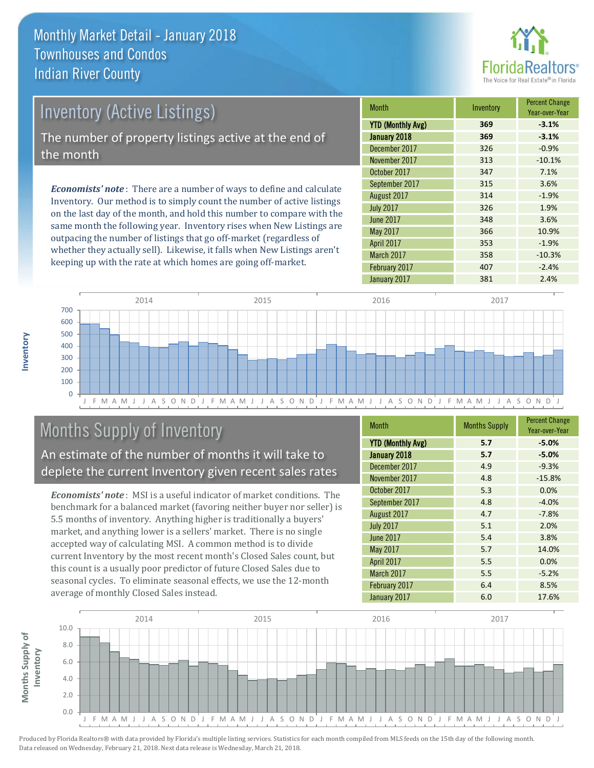

| <b>Inventory (Active Listings)</b>                   |        |
|------------------------------------------------------|--------|
|                                                      | YTD (N |
| The number of property listings active at the end of | Januar |
| the month                                            | Decem  |
|                                                      | Novem  |
|                                                      | Octobe |
|                                                      |        |

*Economists' note* : There are a number of ways to define and calculate Inventory. Our method is to simply count the number of active listings on the last day of the month, and hold this number to compare with the same month the following year. Inventory rises when New Listings are outpacing the number of listings that go off-market (regardless of whether they actually sell). Likewise, it falls when New Listings aren't keeping up with the rate at which homes are going off-market.

| <b>Month</b>             | Inventory | <b>Percent Change</b><br>Year-over-Year |
|--------------------------|-----------|-----------------------------------------|
| <b>YTD (Monthly Avg)</b> | 369       | $-3.1%$                                 |
| January 2018             | 369       | $-3.1%$                                 |
| December 2017            | 326       | $-0.9%$                                 |
| November 2017            | 313       | $-10.1%$                                |
| October 2017             | 347       | 7.1%                                    |
| September 2017           | 315       | 3.6%                                    |
| August 2017              | 314       | $-1.9%$                                 |
| <b>July 2017</b>         | 326       | 1.9%                                    |
| <b>June 2017</b>         | 348       | 3.6%                                    |
| May 2017                 | 366       | 10.9%                                   |
| April 2017               | 353       | $-1.9%$                                 |
| March 2017               | 358       | $-10.3%$                                |
| February 2017            | 407       | $-2.4%$                                 |
| January 2017             | 381       | 2.4%                                    |



# Months Supply of Inventory

An estimate of the number of months it will take to deplete the current Inventory given recent sales rates

*Economists' note* : MSI is a useful indicator of market conditions. The benchmark for a balanced market (favoring neither buyer nor seller) is 5.5 months of inventory. Anything higher is traditionally a buyers' market, and anything lower is a sellers' market. There is no single accepted way of calculating MSI. A common method is to divide current Inventory by the most recent month's Closed Sales count, but this count is a usually poor predictor of future Closed Sales due to seasonal cycles. To eliminate seasonal effects, we use the 12-month average of monthly Closed Sales instead.

| Month                    | <b>Months Supply</b> | <b>Percent Change</b><br>Year-over-Year |
|--------------------------|----------------------|-----------------------------------------|
| <b>YTD (Monthly Avg)</b> | 5.7                  | $-5.0%$                                 |
| January 2018             | 5.7                  | $-5.0%$                                 |
| December 2017            | 4.9                  | $-9.3%$                                 |
| November 2017            | 4.8                  | $-15.8%$                                |
| October 2017             | 5.3                  | 0.0%                                    |
| September 2017           | 4.8                  | $-4.0%$                                 |
| August 2017              | 4.7                  | $-7.8%$                                 |
| <b>July 2017</b>         | 5.1                  | 2.0%                                    |
| <b>June 2017</b>         | 5.4                  | 3.8%                                    |
| May 2017                 | 5.7                  | 14.0%                                   |
| April 2017               | 5.5                  | 0.0%                                    |
| March 2017               | 5.5                  | $-5.2%$                                 |
| February 2017            | 6.4                  | 8.5%                                    |
| January 2017             | 6.0                  | 17.6%                                   |

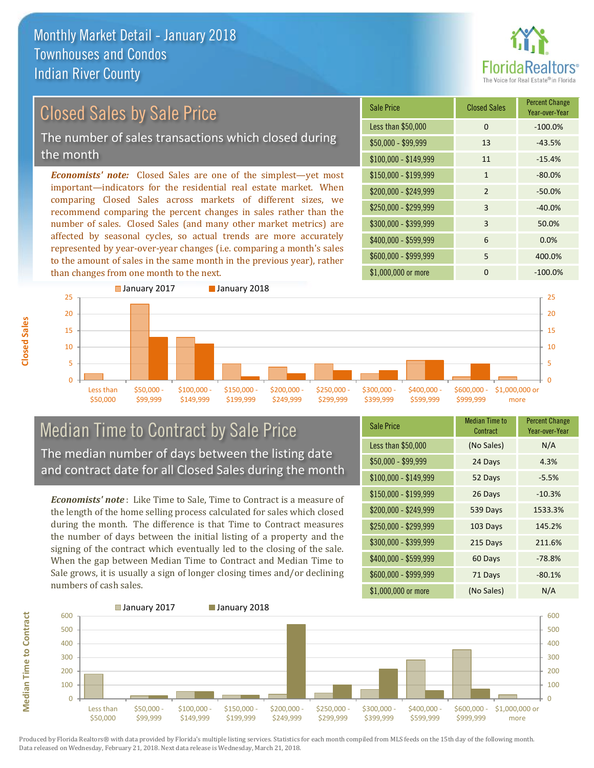

# Closed Sales by Sale Price

The number of sales transactions which closed during the month

*Economists' note:* Closed Sales are one of the simplest—yet most important—indicators for the residential real estate market. When comparing Closed Sales across markets of different sizes, we recommend comparing the percent changes in sales rather than the number of sales. Closed Sales (and many other market metrics) are affected by seasonal cycles, so actual trends are more accurately represented by year-over-year changes (i.e. comparing a month's sales to the amount of sales in the same month in the previous year), rather than changes from one month to the next.

| <b>Sale Price</b>     | <b>Closed Sales</b> | <b>Percent Change</b><br>Year-over-Year |
|-----------------------|---------------------|-----------------------------------------|
| Less than \$50,000    | 0                   | $-100.0%$                               |
| $$50,000 - $99,999$   | 13                  | $-43.5%$                                |
| $$100,000 - $149,999$ | 11                  | $-15.4%$                                |
| $$150,000 - $199,999$ | 1                   | $-80.0%$                                |
| \$200,000 - \$249,999 | $\mathcal{P}$       | $-50.0%$                                |
| \$250,000 - \$299,999 | 3                   | $-40.0%$                                |
| \$300,000 - \$399,999 | 3                   | 50.0%                                   |
| \$400,000 - \$599,999 | 6                   | 0.0%                                    |
| \$600,000 - \$999,999 | 5                   | 400.0%                                  |
| \$1,000,000 or more   | ŋ                   | $-100.0%$                               |



#### Median Time to Contract by Sale Price The median number of days between the listing date and contract date for all Closed Sales during the month

*Economists' note* : Like Time to Sale, Time to Contract is a measure of the length of the home selling process calculated for sales which closed during the month. The difference is that Time to Contract measures the number of days between the initial listing of a property and the signing of the contract which eventually led to the closing of the sale. When the gap between Median Time to Contract and Median Time to Sale grows, it is usually a sign of longer closing times and/or declining numbers of cash sales.

| <b>Sale Price</b>     | Median Time to<br>Contract | <b>Percent Change</b><br>Year-over-Year |
|-----------------------|----------------------------|-----------------------------------------|
| Less than \$50,000    | (No Sales)                 | N/A                                     |
| \$50,000 - \$99,999   | 24 Days                    | 4.3%                                    |
| $$100,000 - $149,999$ | 52 Days                    | $-5.5%$                                 |
| \$150,000 - \$199,999 | 26 Days                    | $-10.3%$                                |
| \$200,000 - \$249,999 | 539 Days                   | 1533.3%                                 |
| \$250,000 - \$299,999 | 103 Days                   | 145.2%                                  |
| \$300,000 - \$399,999 | 215 Days                   | 211.6%                                  |
| \$400,000 - \$599,999 | 60 Days                    | $-78.8%$                                |
| \$600,000 - \$999,999 | 71 Days                    | $-80.1%$                                |
| \$1,000,000 or more   | (No Sales)                 | N/A                                     |

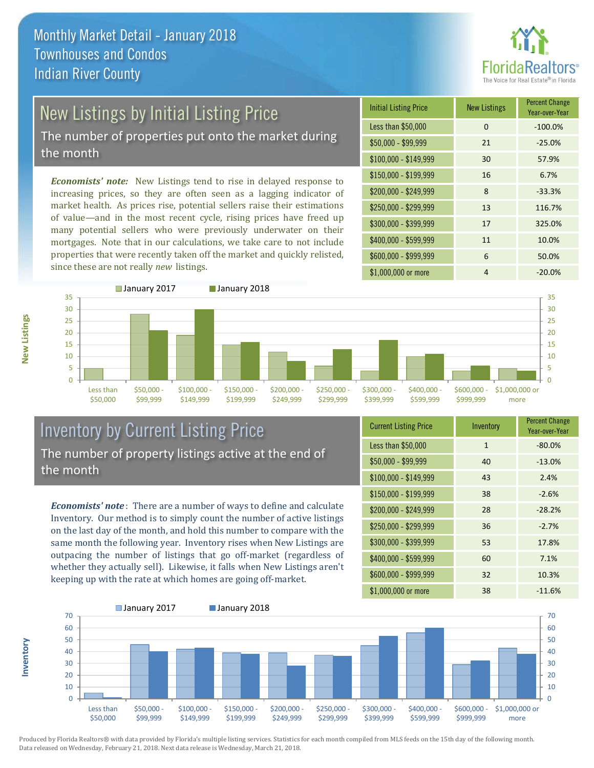

# New Listings by Initial Listing Price

The number of properties put onto the market during the month

*Economists' note:* New Listings tend to rise in delayed response to increasing prices, so they are often seen as a lagging indicator of market health. As prices rise, potential sellers raise their estimations of value—and in the most recent cycle, rising prices have freed up many potential sellers who were previously underwater on their mortgages. Note that in our calculations, we take care to not include properties that were recently taken off the market and quickly relisted, since these are not really *new* listings.

| <b>Initial Listing Price</b> | <b>New Listings</b> | <b>Percent Change</b><br>Year-over-Year |
|------------------------------|---------------------|-----------------------------------------|
| Less than \$50,000           | $\Omega$            | $-100.0%$                               |
| \$50,000 - \$99,999          | 21                  | $-25.0%$                                |
| $$100,000 - $149,999$        | 30                  | 57.9%                                   |
| $$150,000 - $199,999$        | 16                  | 6.7%                                    |
| \$200,000 - \$249,999        | 8                   | $-33.3%$                                |
| \$250,000 - \$299,999        | 13                  | 116.7%                                  |
| \$300,000 - \$399,999        | 17                  | 325.0%                                  |
| \$400,000 - \$599,999        | 11                  | 10.0%                                   |
| \$600,000 - \$999,999        | 6                   | 50.0%                                   |
| \$1,000,000 or more          | 4                   | $-20.0%$                                |

![](_page_8_Figure_6.jpeg)

#### Inventory by Current Listing Price The number of property listings active at the end of the month

*Economists' note* : There are a number of ways to define and calculate Inventory. Our method is to simply count the number of active listings on the last day of the month, and hold this number to compare with the same month the following year. Inventory rises when New Listings are outpacing the number of listings that go off-market (regardless of whether they actually sell). Likewise, it falls when New Listings aren't keeping up with the rate at which homes are going off-market.

| <b>Current Listing Price</b> | Inventory    | <b>Percent Change</b><br>Year-over-Year |
|------------------------------|--------------|-----------------------------------------|
| Less than \$50,000           | $\mathbf{1}$ | $-80.0%$                                |
| $$50,000 - $99,999$          | 40           | $-13.0%$                                |
| $$100,000 - $149,999$        | 43           | 2.4%                                    |
| $$150,000 - $199,999$        | 38           | $-2.6%$                                 |
| \$200,000 - \$249,999        | 28           | $-28.2%$                                |
| \$250,000 - \$299,999        | 36           | $-2.7%$                                 |
| \$300,000 - \$399,999        | 53           | 17.8%                                   |
| \$400,000 - \$599,999        | 60           | 7.1%                                    |
| \$600,000 - \$999,999        | 32           | 10.3%                                   |
| \$1,000,000 or more          | 38           | $-11.6%$                                |

![](_page_8_Figure_10.jpeg)

Produced by Florida Realtors® with data provided by Florida's multiple listing services. Statistics for each month compiled from MLS feeds on the 15th day of the following month. Data released on Wednesday, February 21, 2018. Next data release is Wednesday, March 21, 2018.

**Inventory**